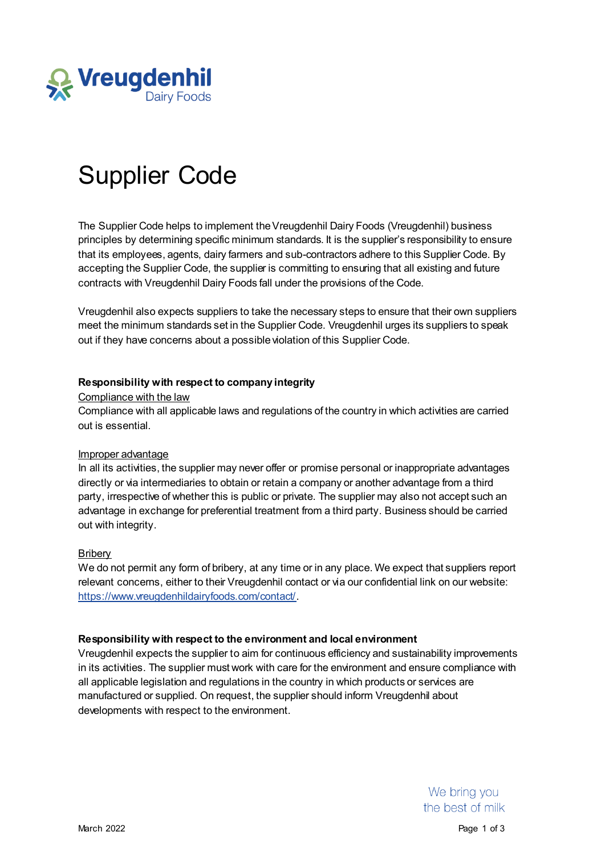

# Supplier Code

The Supplier Code helps to implement the Vreugdenhil Dairy Foods (Vreugdenhil) business principles by determining specific minimum standards. It is the supplier's responsibility to ensure that its employees, agents, dairy farmers and sub-contractors adhere to this Supplier Code. By accepting the Supplier Code, the supplier is committing to ensuring that all existing and future contracts with Vreugdenhil Dairy Foods fall under the provisions of the Code.

Vreugdenhil also expects suppliers to take the necessary steps to ensure that their own suppliers meet the minimum standards set in the Supplier Code. Vreugdenhil urges its suppliers to speak out if they have concerns about a possible violation of this Supplier Code.

# **Responsibility with respect to company integrity**

# Compliance with the law

Compliance with all applicable laws and regulations of the country in which activities are carried out is essential.

# Improper advantage

In all its activities, the supplier may never offer or promise personal or inappropriate advantages directly or via intermediaries to obtain or retain a company or another advantage from a third party, irrespective of whether this is public or private. The supplier may also not accept such an advantage in exchange for preferential treatment from a third party. Business should be carried out with integrity.

# **Briberv**

We do not permit any form of bribery, at any time or in any place. We expect that suppliers report relevant concerns, either to their Vreugdenhil contact or via our confidential link on our website: <https://www.vreugdenhildairyfoods.com/contact/>.

# **Responsibility with respect to the environment and local environment**

Vreugdenhil expects the supplier to aim for continuous efficiency and sustainability improvements in its activities. The supplier must work with care for the environment and ensure compliance with all applicable legislation and regulations in the country in which products or services are manufactured or supplied. On request, the supplier should inform Vreugdenhil about developments with respect to the environment.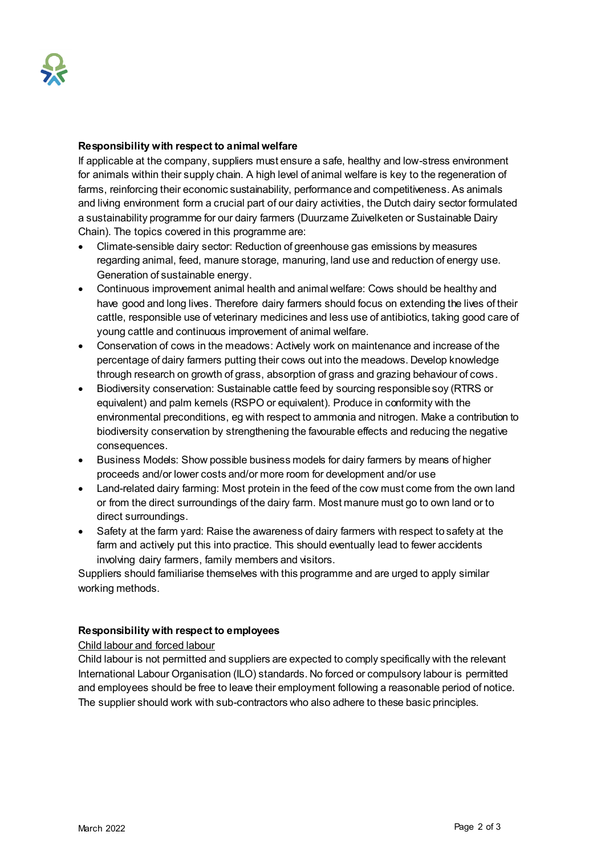## **Responsibility with respect to animal welfare**

If applicable at the company, suppliers must ensure a safe, healthy and low-stress environment for animals within their supply chain. A high level of animal welfare is key to the regeneration of farms, reinforcing their economic sustainability, performance and competitiveness. As animals and living environment form a crucial part of our dairy activities, the Dutch dairy sector formulated a sustainability programme for our dairy farmers (Duurzame Zuivelketen or Sustainable Dairy Chain). The topics covered in this programme are:

- Climate-sensible dairy sector: Reduction of greenhouse gas emissions by measures regarding animal, feed, manure storage, manuring, land use and reduction of energy use. Generation of sustainable energy.
- Continuous improvement animal health and animal welfare: Cows should be healthy and have good and long lives. Therefore dairy farmers should focus on extending the lives of their cattle, responsible use of veterinary medicines and less use of antibiotics, taking good care of young cattle and continuous improvement of animal welfare.
- Conservation of cows in the meadows: Actively work on maintenance and increase of the percentage of dairy farmers putting their cows out into the meadows. Develop knowledge through research on growth of grass, absorption of grass and grazing behaviour of cows.
- Biodiversity conservation: Sustainable cattle feed by sourcing responsible soy (RTRS or equivalent) and palm kernels (RSPO or equivalent). Produce in conformity with the environmental preconditions, eg with respect to ammonia and nitrogen. Make a contribution to biodiversity conservation by strengthening the favourable effects and reducing the negative consequences.
- Business Models: Show possible business models for dairy farmers by means of higher proceeds and/or lower costs and/or more room for development and/or use
- Land-related dairy farming: Most protein in the feed of the cow must come from the own land or from the direct surroundings of the dairy farm. Most manure must go to own land or to direct surroundings.
- Safety at the farm yard: Raise the awareness of dairy farmers with respect to safety at the farm and actively put this into practice. This should eventually lead to fewer accidents involving dairy farmers, family members and visitors.

Suppliers should familiarise themselves with this programme and are urged to apply similar working methods.

# **Responsibility with respect to employees**

# Child labour and forced labour

Child labour is not permitted and suppliers are expected to comply specifically with the relevant International Labour Organisation (ILO) standards. No forced or compulsory labour is permitted and employees should be free to leave their employment following a reasonable period of notice. The supplier should work with sub-contractors who also adhere to these basic principles.